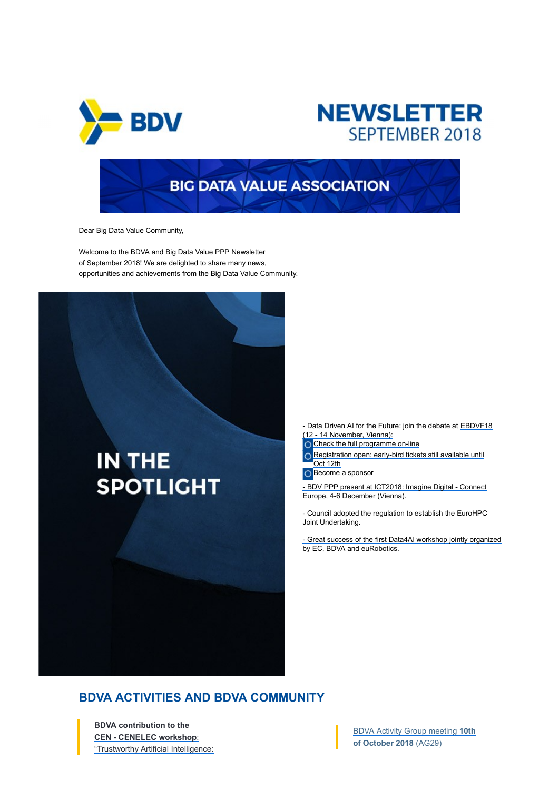

# **NEWSLETTER** SEPTEMBER 2018

Dear Big Data Value Community,

Welcome to the BDVA and Big Data Value PPP Newsletter of September 2018! We are delighted to share many news, opportunities and achievements from the Big Data Value Community.



**SSOCIATION**<br>- Data Driven AI for the Future: join the debate at <u>EBDVF18</u><br>12 - 14 November, Venna):<br>Check the full programme on-line<br>O Registration open: early-bird tickets still available until<br>Decome a sponsor<br>Decome a (12 - 14 November, Vienna): - Data Driven AI for the Future: join the debate at EBDVF18<br>
(12 - 14 November, Vienna):<br>
Check the full programme on-line<br>
Check the full programme on-line<br>
Check the full programme on-line<br>
Edition open: a archives imagi - Data Driven AI for the Future: join the debate at <u>EBDVF18</u><br>
(12-14 November, Vienna):<br>
Clenck the full programme on-line<br>
Clenck the full programme on-line<br>
Clear Council adopted the regulation to establish the EuroHPC<br> - Data Driven AI for the Future: join the debate at EBDVF18<br>
(2) - 14 November, Venna):<br>
Cocheck the full programme on-line<br>
O Registration open: early-bird tickets still available until<br>
O decome a sponsor<br>
- BDV PPP pres

Check the full programme on-line

○ Registration open: early-bird tickets still available until Oct 12th

Become a sponsor

Europe, 4-6 December (Vienna).

Joint Undertaking.

by EC, BDVA and euRobotics.

### BDVA ACTIVITIES AND BDVA COMMUNITY

BDVA contribution to the CEN - CENELEC workshop: "Trustworthy Artificial Intelligence: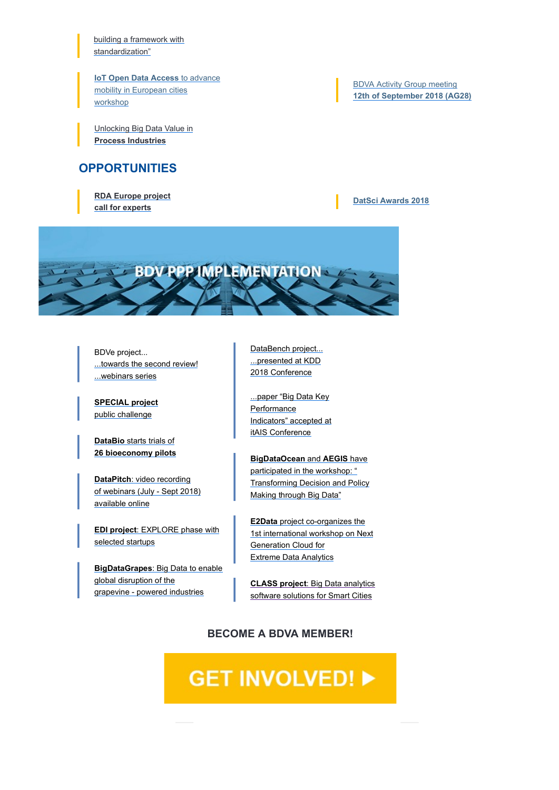building a framework with standardization"

**IoT Open Data Access to advance** mobility in European cities workshop

Unlocking Big Data Value in Process Industries

### **OPPORTUNITIES**

RDA Europe project call for experts

BDVA Activity Group meeting 12th of September 2018 (AG28)

### DatSci Awards 2018



BDVe project... ...towards the second review! ...webinars series

SPECIAL project public challenge

DataBio starts trials of 26 bioeconomy pilots

DataPitch: video recording of webinars (July - Sept 2018) available online

EDI project: EXPLORE phase with selected startups

BigDataGrapes: Big Data to enable global disruption of the grapevine - powered industries

DataBench project... ...presented at KDD 2018 Conference

...paper "Big Data Key **Performance** Indicators" accepted at itAIS Conference

**BigDataOcean and AEGIS have** participated in the workshop: " Transforming Decision and Policy Making through Big Data"

E2Data project co-organizes the 1st international workshop on Next Generation Cloud for Extreme Data Analytics

CLASS project: Big Data analytics software solutions for Smart Cities

### BECOME A BDVA MEMBER!

# **GET INVOLVED! ▶**